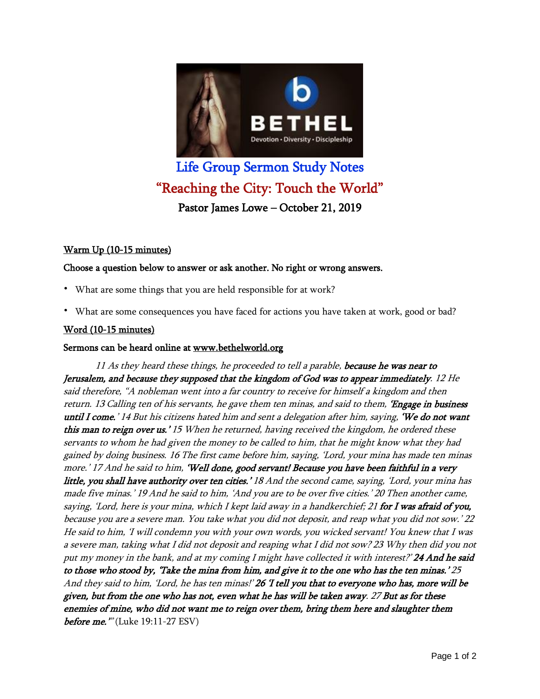

# Life Group Sermon Study Notes "Reaching the City: Touch the World" Pastor James Lowe – October 21, 2019

# Warm Up (10-15 minutes)

## Choose a question below to answer or ask another. No right or wrong answers.

- What are some things that you are held responsible for at work?
- What are some consequences you have faced for actions you have taken at work, good or bad?

## Word (10-15 minutes)

#### Sermons can be heard online at www.bethelworld.org

11 As they heard these things, he proceeded to tell a parable, because he was near to Jerusalem, and because they supposed that the kingdom of God was to appear immediately. 12 He said therefore, "A nobleman went into <sup>a</sup> far country to receive for himself <sup>a</sup> kingdom and then return. 13 Calling ten of his servants, he gave them ten minas, and said to them, 'Engage in business until I come.' 14 But his citizens hated him and sent a delegation after him, saying, 'We do not want this man to reign over us.' 15 When he returned, having received the kingdom, he ordered these servants to whom he had given the money to be called to him, that he might know what they had gained by doing business. 16 The first came before him, saying, 'Lord, your mina has made ten minas more.' 17 And he said to him, 'Well done, good servant! Because you have been faithful in a very little, you shall have authority over ten cities.' 18 And the second came, saying, 'Lord, your mina has made five minas.' 19 And he said to him, 'And you are to be over five cities.' 20 Then another came, saying, 'Lord, here is your mina, which I kept laid away in a handkerchief; 21 for I was afraid of you, because you are <sup>a</sup> severe man. You take what you did not deposit, and reap what you did not sow.' 22 He said to him, 'I will condemn you with your own words, you wicked servant! You knew that <sup>I</sup> was <sup>a</sup> severe man, taking what <sup>I</sup> did not deposit and reaping what <sup>I</sup> did not sow? 23 Why then did you not put my money in the bank, and at my coming I might have collected it with interest?' 24 And he said to those who stood by, 'Take the mina from him, and give it to the one who has the ten minas.' 25 And they said to him, 'Lord, he has ten minas!' 26 T tell you that to everyone who has, more will be given, but from the one who has not, even what he has will be taken away. 27 But as for these enemies of mine, who did not want me to reign over them, bring them here and slaughter them **before me.** "'(Luke 19:11-27 ESV)